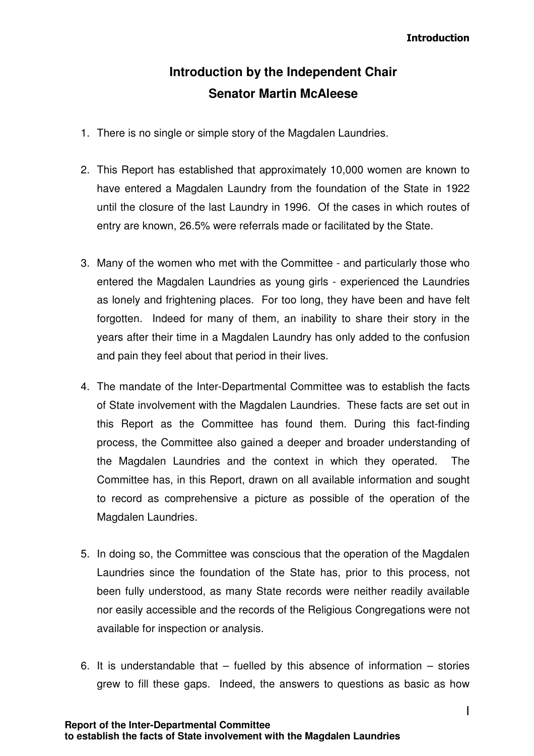**Introduction** 

# **Introduction by the Independent Chair Senator Martin McAleese**

- 1. There is no single or simple story of the Magdalen Laundries.
- 2. This Report has established that approximately 10,000 women are known to have entered a Magdalen Laundry from the foundation of the State in 1922 until the closure of the last Laundry in 1996. Of the cases in which routes of entry are known, 26.5% were referrals made or facilitated by the State.
- 3. Many of the women who met with the Committee and particularly those who entered the Magdalen Laundries as young girls - experienced the Laundries as lonely and frightening places. For too long, they have been and have felt forgotten. Indeed for many of them, an inability to share their story in the years after their time in a Magdalen Laundry has only added to the confusion and pain they feel about that period in their lives.
- 4. The mandate of the Inter-Departmental Committee was to establish the facts of State involvement with the Magdalen Laundries. These facts are set out in this Report as the Committee has found them. During this fact-finding process, the Committee also gained a deeper and broader understanding of the Magdalen Laundries and the context in which they operated. The Committee has, in this Report, drawn on all available information and sought to record as comprehensive a picture as possible of the operation of the Magdalen Laundries.
- 5. In doing so, the Committee was conscious that the operation of the Magdalen Laundries since the foundation of the State has, prior to this process, not been fully understood, as many State records were neither readily available nor easily accessible and the records of the Religious Congregations were not available for inspection or analysis.
- 6. It is understandable that  $-$  fuelled by this absence of information  $-$  stories grew to fill these gaps. Indeed, the answers to questions as basic as how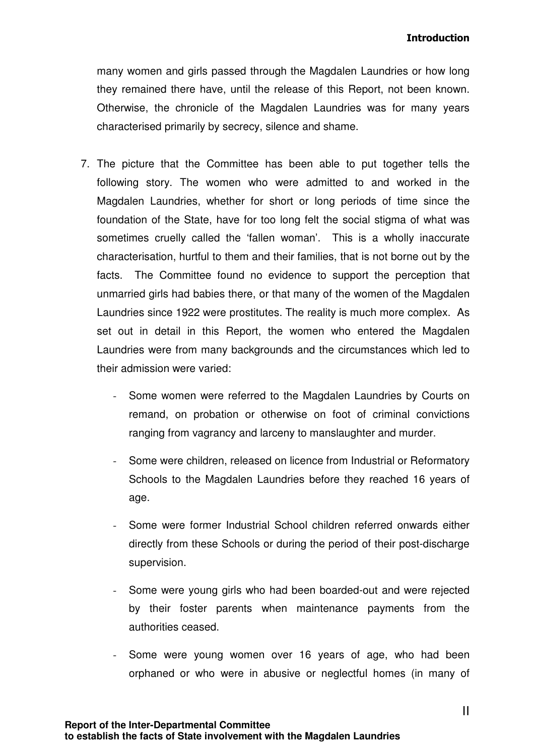many women and girls passed through the Magdalen Laundries or how long they remained there have, until the release of this Report, not been known. Otherwise, the chronicle of the Magdalen Laundries was for many years characterised primarily by secrecy, silence and shame.

- 7. The picture that the Committee has been able to put together tells the following story. The women who were admitted to and worked in the Magdalen Laundries, whether for short or long periods of time since the foundation of the State, have for too long felt the social stigma of what was sometimes cruelly called the 'fallen woman'. This is a wholly inaccurate characterisation, hurtful to them and their families, that is not borne out by the facts. The Committee found no evidence to support the perception that unmarried girls had babies there, or that many of the women of the Magdalen Laundries since 1922 were prostitutes. The reality is much more complex. As set out in detail in this Report, the women who entered the Magdalen Laundries were from many backgrounds and the circumstances which led to their admission were varied:
	- Some women were referred to the Magdalen Laundries by Courts on remand, on probation or otherwise on foot of criminal convictions ranging from vagrancy and larceny to manslaughter and murder.
	- Some were children, released on licence from Industrial or Reformatory Schools to the Magdalen Laundries before they reached 16 years of age.
	- Some were former Industrial School children referred onwards either directly from these Schools or during the period of their post-discharge supervision.
	- Some were young girls who had been boarded-out and were rejected by their foster parents when maintenance payments from the authorities ceased.
	- Some were young women over 16 years of age, who had been orphaned or who were in abusive or neglectful homes (in many of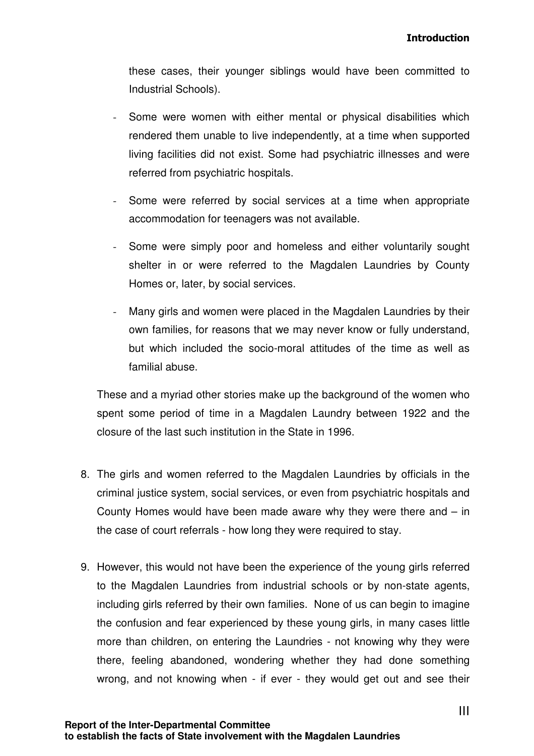these cases, their younger siblings would have been committed to Industrial Schools).

- Some were women with either mental or physical disabilities which rendered them unable to live independently, at a time when supported living facilities did not exist. Some had psychiatric illnesses and were referred from psychiatric hospitals.
- Some were referred by social services at a time when appropriate accommodation for teenagers was not available.
- Some were simply poor and homeless and either voluntarily sought shelter in or were referred to the Magdalen Laundries by County Homes or, later, by social services.
- Many girls and women were placed in the Magdalen Laundries by their own families, for reasons that we may never know or fully understand, but which included the socio-moral attitudes of the time as well as familial abuse.

These and a myriad other stories make up the background of the women who spent some period of time in a Magdalen Laundry between 1922 and the closure of the last such institution in the State in 1996.

- 8. The girls and women referred to the Magdalen Laundries by officials in the criminal justice system, social services, or even from psychiatric hospitals and County Homes would have been made aware why they were there and – in the case of court referrals - how long they were required to stay.
- 9. However, this would not have been the experience of the young girls referred to the Magdalen Laundries from industrial schools or by non-state agents, including girls referred by their own families. None of us can begin to imagine the confusion and fear experienced by these young girls, in many cases little more than children, on entering the Laundries - not knowing why they were there, feeling abandoned, wondering whether they had done something wrong, and not knowing when - if ever - they would get out and see their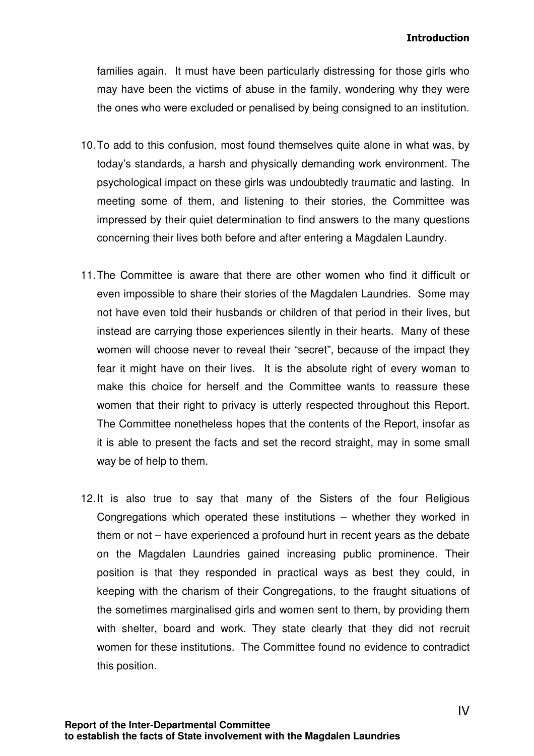#### **Introduction**

families again. It must have been particularly distressing for those girls who may have been the victims of abuse in the family, wondering why they were the ones who were excluded or penalised by being consigned to an institution.

- 10. To add to this confusion, most found themselves quite alone in what was, by today's standards, a harsh and physically demanding work environment. The psychological impact on these girls was undoubtedly traumatic and lasting. In meeting some of them, and listening to their stories, the Committee was impressed by their quiet determination to find answers to the many questions concerning their lives both before and after entering a Magdalen Laundry.
- 11. The Committee is aware that there are other women who find it difficult or even impossible to share their stories of the Magdalen Laundries. Some may not have even told their husbands or children of that period in their lives, but instead are carrying those experiences silently in their hearts. Many of these women will choose never to reveal their "secret", because of the impact they fear it might have on their lives. It is the absolute right of every woman to make this choice for herself and the Committee wants to reassure these women that their right to privacy is utterly respected throughout this Report. The Committee nonetheless hopes that the contents of the Report, insofar as it is able to present the facts and set the record straight, may in some small way be of help to them.
- 12. It is also true to say that many of the Sisters of the four Religious Congregations which operated these institutions – whether they worked in them or not – have experienced a profound hurt in recent years as the debate on the Magdalen Laundries gained increasing public prominence. Their position is that they responded in practical ways as best they could, in keeping with the charism of their Congregations, to the fraught situations of the sometimes marginalised girls and women sent to them, by providing them with shelter, board and work. They state clearly that they did not recruit women for these institutions. The Committee found no evidence to contradict this position.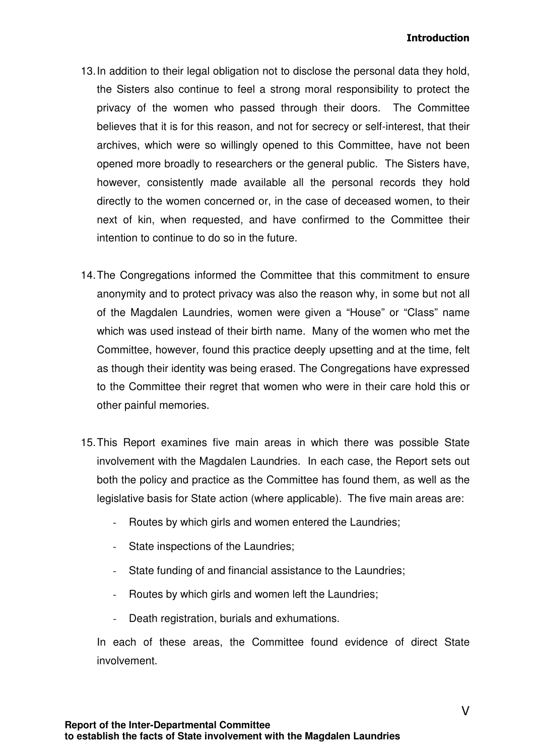- 13. In addition to their legal obligation not to disclose the personal data they hold, the Sisters also continue to feel a strong moral responsibility to protect the privacy of the women who passed through their doors. The Committee believes that it is for this reason, and not for secrecy or self-interest, that their archives, which were so willingly opened to this Committee, have not been opened more broadly to researchers or the general public. The Sisters have, however, consistently made available all the personal records they hold directly to the women concerned or, in the case of deceased women, to their next of kin, when requested, and have confirmed to the Committee their intention to continue to do so in the future.
- 14. The Congregations informed the Committee that this commitment to ensure anonymity and to protect privacy was also the reason why, in some but not all of the Magdalen Laundries, women were given a "House" or "Class" name which was used instead of their birth name. Many of the women who met the Committee, however, found this practice deeply upsetting and at the time, felt as though their identity was being erased. The Congregations have expressed to the Committee their regret that women who were in their care hold this or other painful memories.
- 15. This Report examines five main areas in which there was possible State involvement with the Magdalen Laundries. In each case, the Report sets out both the policy and practice as the Committee has found them, as well as the legislative basis for State action (where applicable). The five main areas are:
	- Routes by which girls and women entered the Laundries;
	- State inspections of the Laundries;
	- State funding of and financial assistance to the Laundries;
	- Routes by which girls and women left the Laundries:
	- Death registration, burials and exhumations.

In each of these areas, the Committee found evidence of direct State involvement.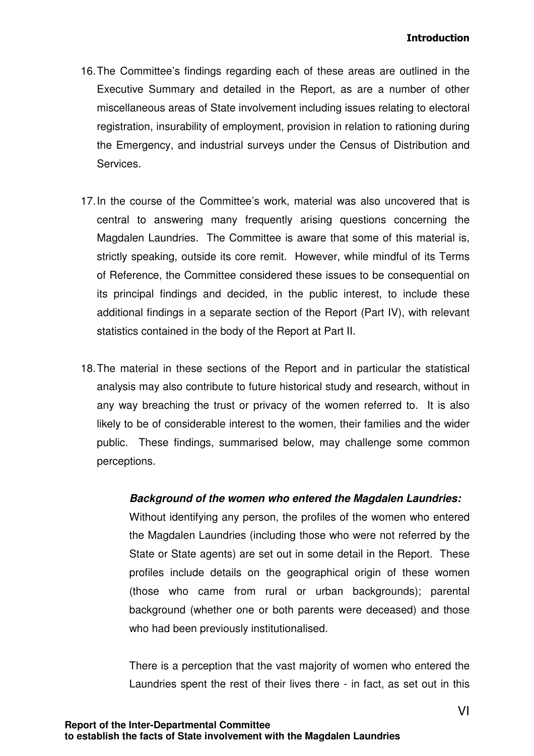- 16. The Committee's findings regarding each of these areas are outlined in the Executive Summary and detailed in the Report, as are a number of other miscellaneous areas of State involvement including issues relating to electoral registration, insurability of employment, provision in relation to rationing during the Emergency, and industrial surveys under the Census of Distribution and Services.
- 17. In the course of the Committee's work, material was also uncovered that is central to answering many frequently arising questions concerning the Magdalen Laundries. The Committee is aware that some of this material is, strictly speaking, outside its core remit. However, while mindful of its Terms of Reference, the Committee considered these issues to be consequential on its principal findings and decided, in the public interest, to include these additional findings in a separate section of the Report (Part IV), with relevant statistics contained in the body of the Report at Part II.
- 18. The material in these sections of the Report and in particular the statistical analysis may also contribute to future historical study and research, without in any way breaching the trust or privacy of the women referred to. It is also likely to be of considerable interest to the women, their families and the wider public. These findings, summarised below, may challenge some common perceptions.

## **Background of the women who entered the Magdalen Laundries:**

Without identifying any person, the profiles of the women who entered the Magdalen Laundries (including those who were not referred by the State or State agents) are set out in some detail in the Report. These profiles include details on the geographical origin of these women (those who came from rural or urban backgrounds); parental background (whether one or both parents were deceased) and those who had been previously institutionalised.

There is a perception that the vast majority of women who entered the Laundries spent the rest of their lives there - in fact, as set out in this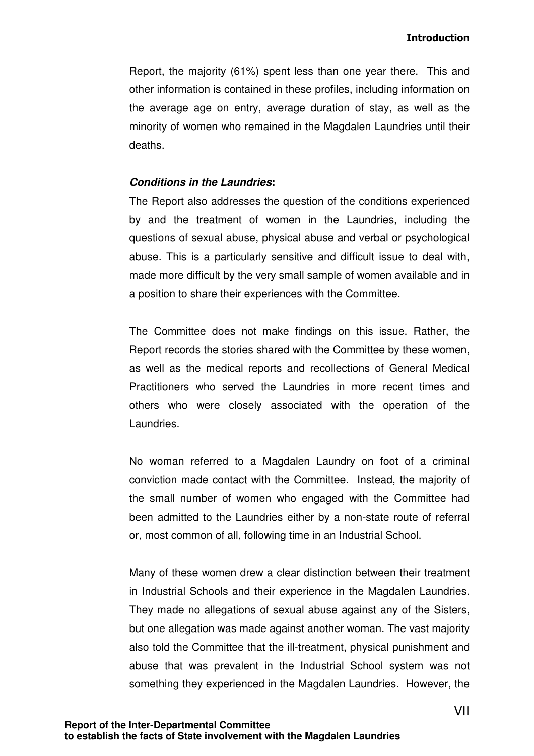Report, the majority (61%) spent less than one year there. This and other information is contained in these profiles, including information on the average age on entry, average duration of stay, as well as the minority of women who remained in the Magdalen Laundries until their deaths.

### **Conditions in the Laundries:**

The Report also addresses the question of the conditions experienced by and the treatment of women in the Laundries, including the questions of sexual abuse, physical abuse and verbal or psychological abuse. This is a particularly sensitive and difficult issue to deal with, made more difficult by the very small sample of women available and in a position to share their experiences with the Committee.

The Committee does not make findings on this issue. Rather, the Report records the stories shared with the Committee by these women, as well as the medical reports and recollections of General Medical Practitioners who served the Laundries in more recent times and others who were closely associated with the operation of the Laundries.

No woman referred to a Magdalen Laundry on foot of a criminal conviction made contact with the Committee. Instead, the majority of the small number of women who engaged with the Committee had been admitted to the Laundries either by a non-state route of referral or, most common of all, following time in an Industrial School.

Many of these women drew a clear distinction between their treatment in Industrial Schools and their experience in the Magdalen Laundries. They made no allegations of sexual abuse against any of the Sisters, but one allegation was made against another woman. The vast majority also told the Committee that the ill-treatment, physical punishment and abuse that was prevalent in the Industrial School system was not something they experienced in the Magdalen Laundries. However, the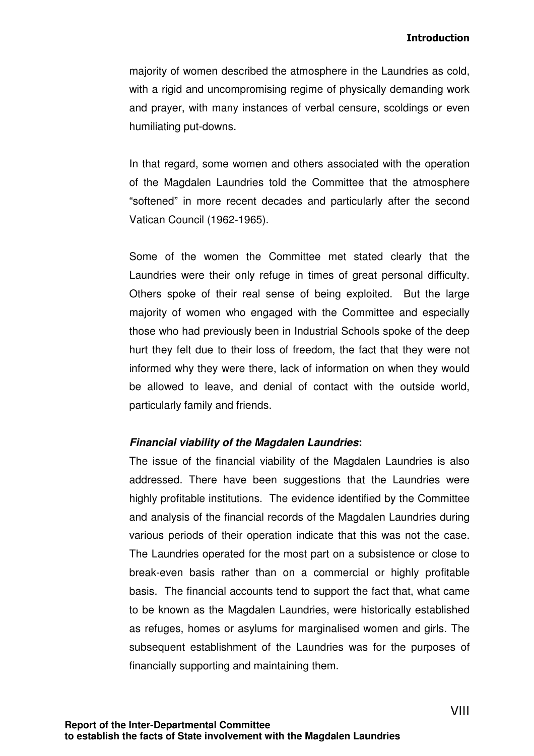majority of women described the atmosphere in the Laundries as cold, with a rigid and uncompromising regime of physically demanding work and prayer, with many instances of verbal censure, scoldings or even humiliating put-downs.

In that regard, some women and others associated with the operation of the Magdalen Laundries told the Committee that the atmosphere "softened" in more recent decades and particularly after the second Vatican Council (1962-1965).

Some of the women the Committee met stated clearly that the Laundries were their only refuge in times of great personal difficulty. Others spoke of their real sense of being exploited. But the large majority of women who engaged with the Committee and especially those who had previously been in Industrial Schools spoke of the deep hurt they felt due to their loss of freedom, the fact that they were not informed why they were there, lack of information on when they would be allowed to leave, and denial of contact with the outside world, particularly family and friends.

#### **Financial viability of the Magdalen Laundries:**

The issue of the financial viability of the Magdalen Laundries is also addressed. There have been suggestions that the Laundries were highly profitable institutions. The evidence identified by the Committee and analysis of the financial records of the Magdalen Laundries during various periods of their operation indicate that this was not the case. The Laundries operated for the most part on a subsistence or close to break-even basis rather than on a commercial or highly profitable basis. The financial accounts tend to support the fact that, what came to be known as the Magdalen Laundries, were historically established as refuges, homes or asylums for marginalised women and girls. The subsequent establishment of the Laundries was for the purposes of financially supporting and maintaining them.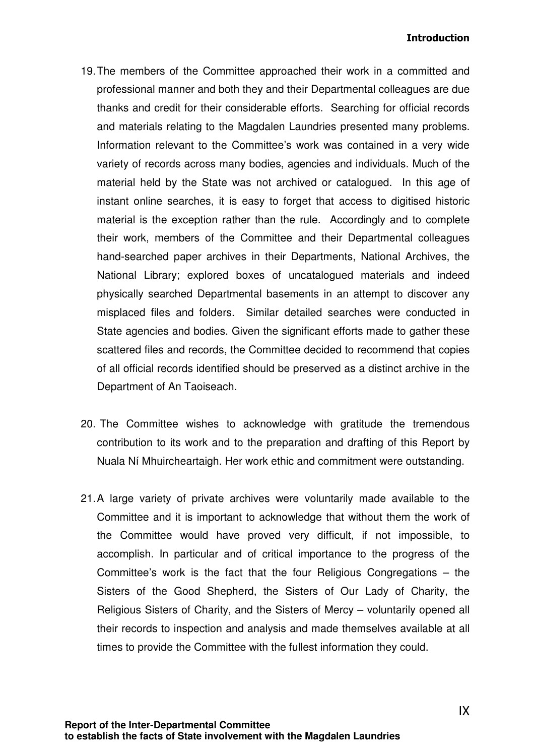### **Introduction**

- 19. The members of the Committee approached their work in a committed and professional manner and both they and their Departmental colleagues are due thanks and credit for their considerable efforts. Searching for official records and materials relating to the Magdalen Laundries presented many problems. Information relevant to the Committee's work was contained in a very wide variety of records across many bodies, agencies and individuals. Much of the material held by the State was not archived or catalogued. In this age of instant online searches, it is easy to forget that access to digitised historic material is the exception rather than the rule. Accordingly and to complete their work, members of the Committee and their Departmental colleagues hand-searched paper archives in their Departments, National Archives, the National Library; explored boxes of uncatalogued materials and indeed physically searched Departmental basements in an attempt to discover any misplaced files and folders. Similar detailed searches were conducted in State agencies and bodies. Given the significant efforts made to gather these scattered files and records, the Committee decided to recommend that copies of all official records identified should be preserved as a distinct archive in the Department of An Taoiseach.
- 20. The Committee wishes to acknowledge with gratitude the tremendous contribution to its work and to the preparation and drafting of this Report by Nuala Ní Mhuircheartaigh. Her work ethic and commitment were outstanding.
- 21. A large variety of private archives were voluntarily made available to the Committee and it is important to acknowledge that without them the work of the Committee would have proved very difficult, if not impossible, to accomplish. In particular and of critical importance to the progress of the Committee's work is the fact that the four Religious Congregations – the Sisters of the Good Shepherd, the Sisters of Our Lady of Charity, the Religious Sisters of Charity, and the Sisters of Mercy – voluntarily opened all their records to inspection and analysis and made themselves available at all times to provide the Committee with the fullest information they could.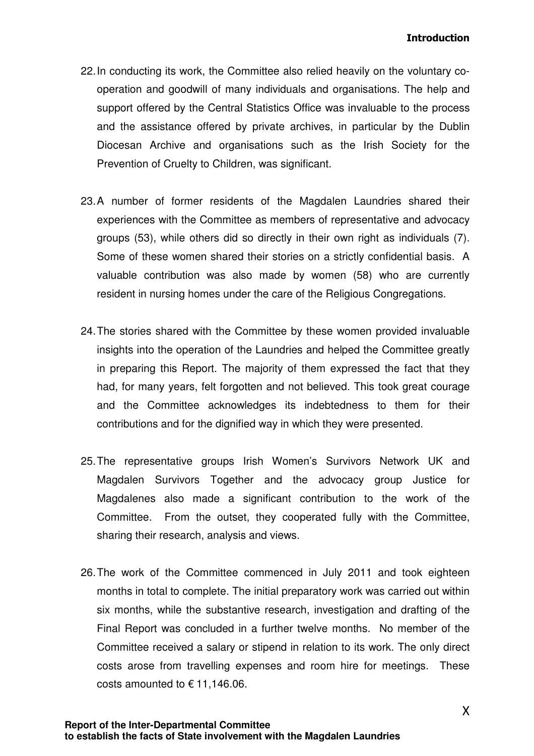- 22. In conducting its work, the Committee also relied heavily on the voluntary cooperation and goodwill of many individuals and organisations. The help and support offered by the Central Statistics Office was invaluable to the process and the assistance offered by private archives, in particular by the Dublin Diocesan Archive and organisations such as the Irish Society for the Prevention of Cruelty to Children, was significant.
- 23. A number of former residents of the Magdalen Laundries shared their experiences with the Committee as members of representative and advocacy groups (53), while others did so directly in their own right as individuals (7). Some of these women shared their stories on a strictly confidential basis. A valuable contribution was also made by women (58) who are currently resident in nursing homes under the care of the Religious Congregations.
- 24. The stories shared with the Committee by these women provided invaluable insights into the operation of the Laundries and helped the Committee greatly in preparing this Report. The majority of them expressed the fact that they had, for many years, felt forgotten and not believed. This took great courage and the Committee acknowledges its indebtedness to them for their contributions and for the dignified way in which they were presented.
- 25. The representative groups Irish Women's Survivors Network UK and Magdalen Survivors Together and the advocacy group Justice for Magdalenes also made a significant contribution to the work of the Committee. From the outset, they cooperated fully with the Committee, sharing their research, analysis and views.
- 26. The work of the Committee commenced in July 2011 and took eighteen months in total to complete. The initial preparatory work was carried out within six months, while the substantive research, investigation and drafting of the Final Report was concluded in a further twelve months. No member of the Committee received a salary or stipend in relation to its work. The only direct costs arose from travelling expenses and room hire for meetings. These costs amounted to  $\epsilon$  11,146.06.